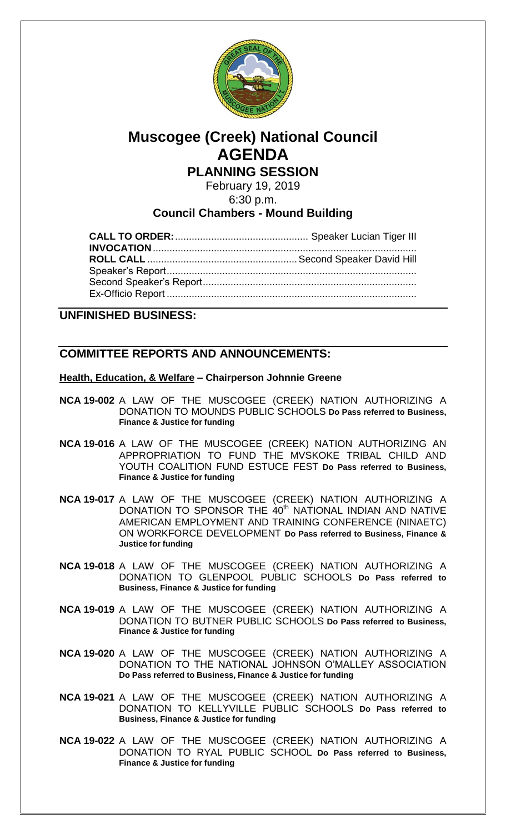

# **Muscogee (Creek) National Council AGENDA**

**PLANNING SESSION**

February 19, 2019

6:30 p.m.

# **Council Chambers - Mound Building**

**UNFINISHED BUSINESS:**

# **COMMITTEE REPORTS AND ANNOUNCEMENTS:**

## **Health, Education, & Welfare – Chairperson Johnnie Greene**

- **NCA 19-002** A LAW OF THE MUSCOGEE (CREEK) NATION AUTHORIZING A DONATION TO MOUNDS PUBLIC SCHOOLS **Do Pass referred to Business, Finance & Justice for funding**
- **NCA 19-016** A LAW OF THE MUSCOGEE (CREEK) NATION AUTHORIZING AN APPROPRIATION TO FUND THE MVSKOKE TRIBAL CHILD AND YOUTH COALITION FUND ESTUCE FEST **Do Pass referred to Business, Finance & Justice for funding**
- **NCA 19-017** A LAW OF THE MUSCOGEE (CREEK) NATION AUTHORIZING A DONATION TO SPONSOR THE 40<sup>th</sup> NATIONAL INDIAN AND NATIVE AMERICAN EMPLOYMENT AND TRAINING CONFERENCE (NINAETC) ON WORKFORCE DEVELOPMENT **Do Pass referred to Business, Finance & Justice for funding**
- **NCA 19-018** A LAW OF THE MUSCOGEE (CREEK) NATION AUTHORIZING A DONATION TO GLENPOOL PUBLIC SCHOOLS **Do Pass referred to Business, Finance & Justice for funding**
- **NCA 19-019** A LAW OF THE MUSCOGEE (CREEK) NATION AUTHORIZING A DONATION TO BUTNER PUBLIC SCHOOLS **Do Pass referred to Business, Finance & Justice for funding**
- **NCA 19-020** A LAW OF THE MUSCOGEE (CREEK) NATION AUTHORIZING A DONATION TO THE NATIONAL JOHNSON O'MALLEY ASSOCIATION **Do Pass referred to Business, Finance & Justice for funding**
- **NCA 19-021** A LAW OF THE MUSCOGEE (CREEK) NATION AUTHORIZING A DONATION TO KELLYVILLE PUBLIC SCHOOLS **Do Pass referred to Business, Finance & Justice for funding**
- **NCA 19-022** A LAW OF THE MUSCOGEE (CREEK) NATION AUTHORIZING A DONATION TO RYAL PUBLIC SCHOOL **Do Pass referred to Business, Finance & Justice for funding**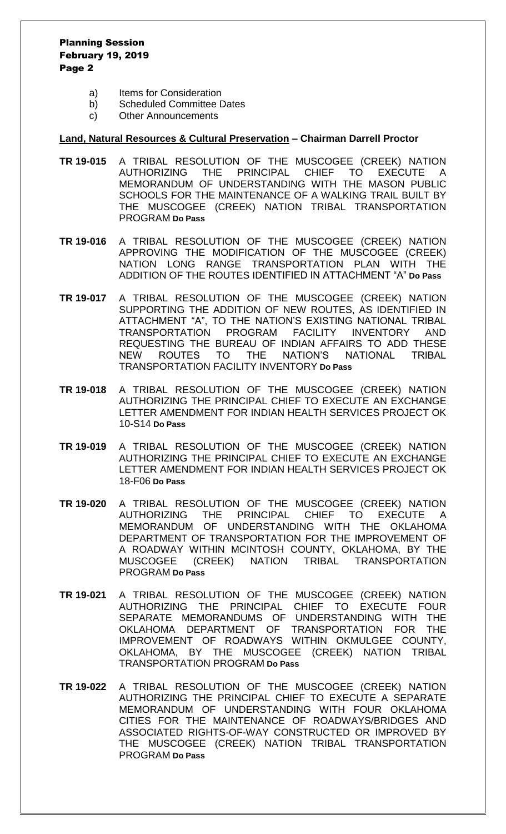#### Planning Session February 19, 2019 Page 2

- a) Items for Consideration
- b) Scheduled Committee Dates
- c) Other Announcements

#### **Land, Natural Resources & Cultural Preservation – Chairman Darrell Proctor**

- **TR 19-015** A TRIBAL RESOLUTION OF THE MUSCOGEE (CREEK) NATION AUTHORIZING THE PRINCIPAL CHIEF TO EXECUTE A MEMORANDUM OF UNDERSTANDING WITH THE MASON PUBLIC SCHOOLS FOR THE MAINTENANCE OF A WALKING TRAIL BUILT BY THE MUSCOGEE (CREEK) NATION TRIBAL TRANSPORTATION PROGRAM **Do Pass**
- **TR 19-016** A TRIBAL RESOLUTION OF THE MUSCOGEE (CREEK) NATION APPROVING THE MODIFICATION OF THE MUSCOGEE (CREEK) NATION LONG RANGE TRANSPORTATION PLAN WITH THE ADDITION OF THE ROUTES IDENTIFIED IN ATTACHMENT "A" **Do Pass**
- **TR 19-017** A TRIBAL RESOLUTION OF THE MUSCOGEE (CREEK) NATION SUPPORTING THE ADDITION OF NEW ROUTES, AS IDENTIFIED IN ATTACHMENT "A", TO THE NATION'S EXISTING NATIONAL TRIBAL TRANSPORTATION PROGRAM FACILITY INVENTORY AND REQUESTING THE BUREAU OF INDIAN AFFAIRS TO ADD THESE NEW ROUTES TO THE NATION'S NATIONAL TRIBAL TRANSPORTATION FACILITY INVENTORY **Do Pass**
- **TR 19-018** A TRIBAL RESOLUTION OF THE MUSCOGEE (CREEK) NATION AUTHORIZING THE PRINCIPAL CHIEF TO EXECUTE AN EXCHANGE LETTER AMENDMENT FOR INDIAN HEALTH SERVICES PROJECT OK 10-S14 **Do Pass**
- **TR 19-019** A TRIBAL RESOLUTION OF THE MUSCOGEE (CREEK) NATION AUTHORIZING THE PRINCIPAL CHIEF TO EXECUTE AN EXCHANGE LETTER AMENDMENT FOR INDIAN HEALTH SERVICES PROJECT OK 18-F06 **Do Pass**
- **TR 19-020** A TRIBAL RESOLUTION OF THE MUSCOGEE (CREEK) NATION AUTHORIZING THE PRINCIPAL CHIEF TO EXECUTE A MEMORANDUM OF UNDERSTANDING WITH THE OKLAHOMA DEPARTMENT OF TRANSPORTATION FOR THE IMPROVEMENT OF A ROADWAY WITHIN MCINTOSH COUNTY, OKLAHOMA, BY THE MUSCOGEE (CREEK) NATION TRIBAL TRANSPORTATION PROGRAM **Do Pass**
- **TR 19-021** A TRIBAL RESOLUTION OF THE MUSCOGEE (CREEK) NATION AUTHORIZING THE PRINCIPAL CHIEF TO EXECUTE FOUR SEPARATE MEMORANDUMS OF UNDERSTANDING WITH THE OKLAHOMA DEPARTMENT OF TRANSPORTATION FOR THE IMPROVEMENT OF ROADWAYS WITHIN OKMULGEE COUNTY, OKLAHOMA, BY THE MUSCOGEE (CREEK) NATION TRIBAL TRANSPORTATION PROGRAM **Do Pass**
- **TR 19-022** A TRIBAL RESOLUTION OF THE MUSCOGEE (CREEK) NATION AUTHORIZING THE PRINCIPAL CHIEF TO EXECUTE A SEPARATE MEMORANDUM OF UNDERSTANDING WITH FOUR OKLAHOMA CITIES FOR THE MAINTENANCE OF ROADWAYS/BRIDGES AND ASSOCIATED RIGHTS-OF-WAY CONSTRUCTED OR IMPROVED BY THE MUSCOGEE (CREEK) NATION TRIBAL TRANSPORTATION PROGRAM **Do Pass**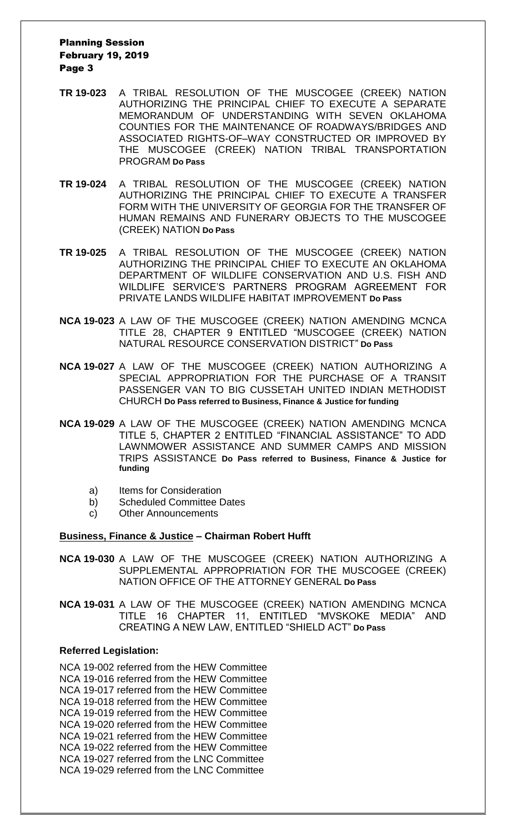#### Planning Session February 19, 2019 Page 3

- **TR 19-023** A TRIBAL RESOLUTION OF THE MUSCOGEE (CREEK) NATION AUTHORIZING THE PRINCIPAL CHIEF TO EXECUTE A SEPARATE MEMORANDUM OF UNDERSTANDING WITH SEVEN OKLAHOMA COUNTIES FOR THE MAINTENANCE OF ROADWAYS/BRIDGES AND ASSOCIATED RIGHTS-OF–WAY CONSTRUCTED OR IMPROVED BY THE MUSCOGEE (CREEK) NATION TRIBAL TRANSPORTATION PROGRAM **Do Pass**
- **TR 19-024** A TRIBAL RESOLUTION OF THE MUSCOGEE (CREEK) NATION AUTHORIZING THE PRINCIPAL CHIEF TO EXECUTE A TRANSFER FORM WITH THE UNIVERSITY OF GEORGIA FOR THE TRANSFER OF HUMAN REMAINS AND FUNERARY OBJECTS TO THE MUSCOGEE (CREEK) NATION **Do Pass**
- **TR 19-025** A TRIBAL RESOLUTION OF THE MUSCOGEE (CREEK) NATION AUTHORIZING THE PRINCIPAL CHIEF TO EXECUTE AN OKLAHOMA DEPARTMENT OF WILDLIFE CONSERVATION AND U.S. FISH AND WILDLIFE SERVICE'S PARTNERS PROGRAM AGREEMENT FOR PRIVATE LANDS WILDLIFE HABITAT IMPROVEMENT **Do Pass**
- **NCA 19-023** A LAW OF THE MUSCOGEE (CREEK) NATION AMENDING MCNCA TITLE 28, CHAPTER 9 ENTITLED "MUSCOGEE (CREEK) NATION NATURAL RESOURCE CONSERVATION DISTRICT" **Do Pass**
- **NCA 19-027** A LAW OF THE MUSCOGEE (CREEK) NATION AUTHORIZING A SPECIAL APPROPRIATION FOR THE PURCHASE OF A TRANSIT PASSENGER VAN TO BIG CUSSETAH UNITED INDIAN METHODIST CHURCH **Do Pass referred to Business, Finance & Justice for funding**
- **NCA 19-029** A LAW OF THE MUSCOGEE (CREEK) NATION AMENDING MCNCA TITLE 5, CHAPTER 2 ENTITLED "FINANCIAL ASSISTANCE" TO ADD LAWNMOWER ASSISTANCE AND SUMMER CAMPS AND MISSION TRIPS ASSISTANCE **Do Pass referred to Business, Finance & Justice for funding**
	- a) Items for Consideration
	- b) Scheduled Committee Dates
	- c) Other Announcements

#### **Business, Finance & Justice – Chairman Robert Hufft**

- **NCA 19-030** A LAW OF THE MUSCOGEE (CREEK) NATION AUTHORIZING A SUPPLEMENTAL APPROPRIATION FOR THE MUSCOGEE (CREEK) NATION OFFICE OF THE ATTORNEY GENERAL **Do Pass**
- **NCA 19-031** A LAW OF THE MUSCOGEE (CREEK) NATION AMENDING MCNCA TITLE 16 CHAPTER 11, ENTITLED "MVSKOKE MEDIA" AND CREATING A NEW LAW, ENTITLED "SHIELD ACT" **Do Pass**

#### **Referred Legislation:**

NCA 19-002 referred from the HEW Committee NCA 19-016 referred from the HEW Committee NCA 19-017 referred from the HEW Committee NCA 19-018 referred from the HEW Committee NCA 19-019 referred from the HEW Committee NCA 19-020 referred from the HEW Committee NCA 19-021 referred from the HEW Committee NCA 19-022 referred from the HEW Committee NCA 19-027 referred from the LNC Committee NCA 19-029 referred from the LNC Committee